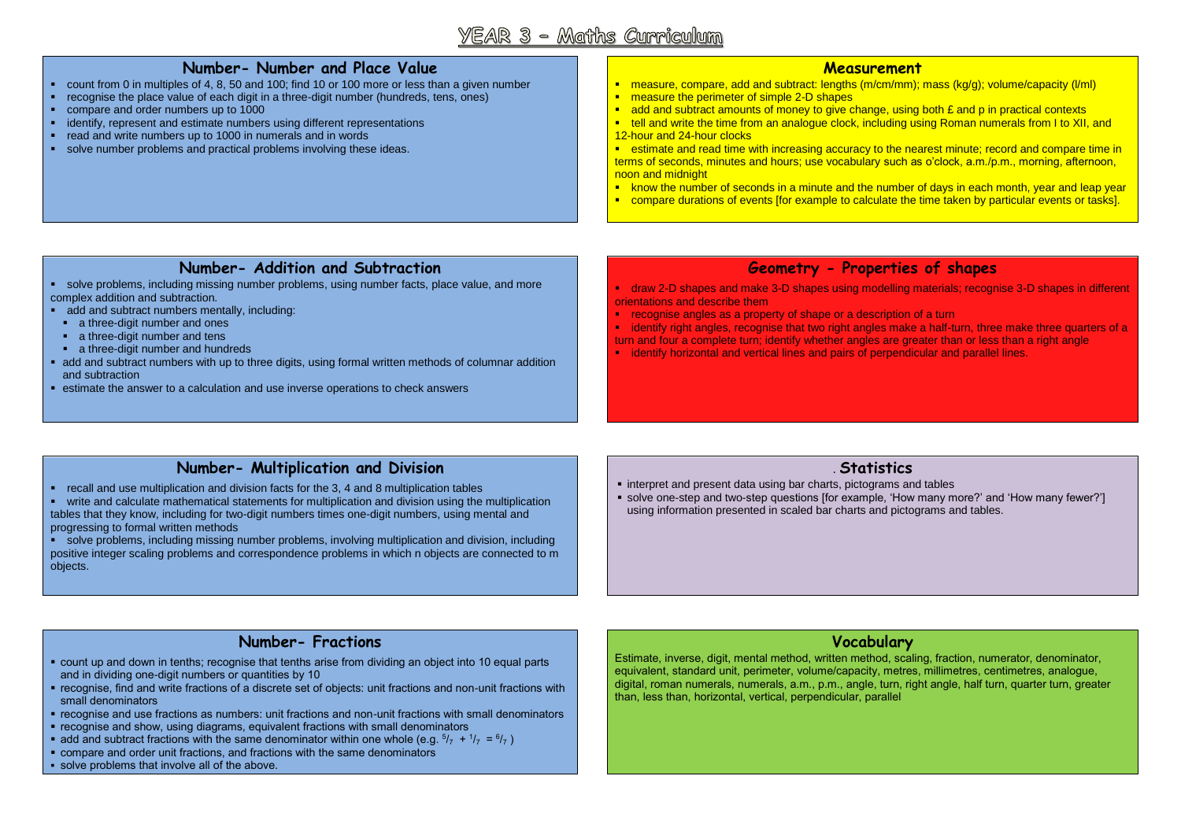# YEAR 3 - Maths Curriculum

## **Number- Number and Place Value**

- count from 0 in multiples of 4, 8, 50 and 100; find 10 or 100 more or less than a given number
- recognise the place value of each digit in a three-digit number (hundreds, tens, ones)
- compare and order numbers up to 1000
- identify, represent and estimate numbers using different representations
- read and write numbers up to 1000 in numerals and in words
- solve number problems and practical problems involving these ideas.

#### **Measurement**

- measure, compare, add and subtract: lengths (m/cm/mm); mass (kg/g); volume/capacity (l/ml)
- **n** measure the perimeter of simple 2-D shapes
- add and subtract amounts of money to give change, using both  $E$  and p in practical contexts
- tell and write the time from an analogue clock, including using Roman numerals from I to XII, and 12-hour and 24-hour clocks

 estimate and read time with increasing accuracy to the nearest minute; record and compare time in terms of seconds, minutes and hours; use vocabulary such as o'clock, a.m./p.m., morning, afternoon, noon and midnight

- **K** know the number of seconds in a minute and the number of days in each month, year and leap year
- compare durations of events [for example to calculate the time taken by particular events or tasks].

#### **Number- Addition and Subtraction**

- solve problems, including missing number problems, using number facts, place value, and more complex addition and subtraction.
- add and subtract numbers mentally, including:
- a three-digit number and ones
- a three-digit number and tens
- a three-digit number and hundreds
- add and subtract numbers with up to three digits, using formal written methods of columnar addition and subtraction
- estimate the answer to a calculation and use inverse operations to check answers

#### **Geometry - Properties of shapes**

 draw 2-D shapes and make 3-D shapes using modelling materials; recognise 3-D shapes in different orientations and describe them

recognise angles as a property of shape or a description of a turn

**identify right angles, recognise that two right angles make a half-turn, three make three quarters of a** turn and four a complete turn; identify whether angles are greater than or less than a right angle

**•** identify horizontal and vertical lines and pairs of perpendicular and parallel lines.

### **Number- Multiplication and Division**

recall and use multiplication and division facts for the 3, 4 and 8 multiplication tables

 write and calculate mathematical statements for multiplication and division using the multiplication tables that they know, including for two-digit numbers times one-digit numbers, using mental and progressing to formal written methods

 solve problems, including missing number problems, involving multiplication and division, including positive integer scaling problems and correspondence problems in which n objects are connected to m objects.

#### . **Statistics**

- **interpret and present data using bar charts, pictograms and tables**
- solve one-step and two-step questions [for example, 'How many more?' and 'How many fewer?'] using information presented in scaled bar charts and pictograms and tables.

#### **Number- Fractions**

- count up and down in tenths; recognise that tenths arise from dividing an object into 10 equal parts and in dividing one-digit numbers or quantities by 10
- recognise, find and write fractions of a discrete set of objects: unit fractions and non-unit fractions with small denominators
- recognise and use fractions as numbers: unit fractions and non-unit fractions with small denominators
- recognise and show, using diagrams, equivalent fractions with small denominators
- **•** add and subtract fractions with the same denominator within one whole (e.g.  $5/7 + 1/7 = 6/7$ )
- compare and order unit fractions, and fractions with the same denominators
- solve problems that involve all of the above.

#### **Vocabulary**

Estimate, inverse, digit, mental method, written method, scaling, fraction, numerator, denominator, equivalent, standard unit, perimeter, volume/capacity, metres, millimetres, centimetres, analogue, digital, roman numerals, numerals, a.m., p.m., angle, turn, right angle, half turn, quarter turn, greater than, less than, horizontal, vertical, perpendicular, parallel